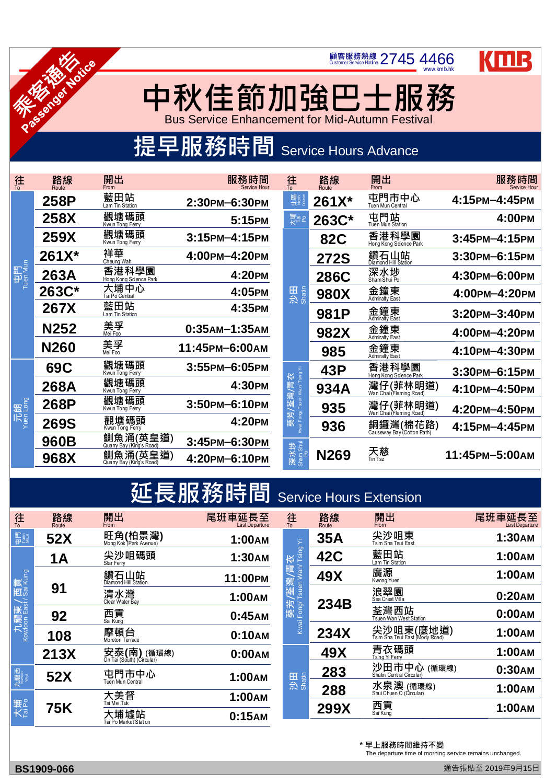www.kmb.hk

KMB

## **中秋 佳節加強巴士服務**

**顧客服務熱線 2745 4466** 

Bus Service Enhancement for Mid-Autumn Festival

## 提早服務時間 Service Hours Advance





HA NONCE

| 往                          | 路線<br>Route | 開出<br>From                           | 服務時間<br>Service Hour           | 往<br>$\overline{10}$                       | 路線<br>Route | 開出<br>From                                 | 服務時間                 |
|----------------------------|-------------|--------------------------------------|--------------------------------|--------------------------------------------|-------------|--------------------------------------------|----------------------|
| 中門<br>Tuen Mun             | <b>258P</b> | 藍田站<br>Lam Tin Station               | 2:30PM-6:30PM                  | 다음<br>11년                                  | 261X*       | 屯門市中心<br>Tuen Mun Central                  | 4:15PM-4:45PM        |
|                            | <b>258X</b> | 觀塘碼頭<br>Kwun Tong Ferry              | 5:15PM                         | 大<br>下。<br>大                               | 263C*       | 屯門站<br><b>Tuen Mun Station</b>             | 4:00PM               |
|                            | <b>259X</b> | 觀塘碼頭<br>Kwun Tong Ferry              | 3:15PM-4:15PM                  |                                            | <b>82C</b>  | 香港科學園<br>Hong Kong Science Park            | $3:45$ PM $-4:15$ PM |
|                            | 261X*       | 祥華<br>Cheung Wah                     | 4:00PM-4:20PM                  |                                            | <b>272S</b> | 鑽石山站<br>Diamond Hill Station               | 3:30PM-6:15PM        |
|                            | <b>263A</b> | 香港科學園<br>Hong Kong Science Park      | 4:20PM                         |                                            | <b>286C</b> | 深水埗                                        | 4:30PM-6:00PM        |
|                            | 263C*       | 大埔中心<br>Tai Po Central               | 4:05PM                         | 沙田<br>Shatin                               | <b>980X</b> | 金鐘東<br><b>Admiralty East</b>               | 4:00PM-4:20PM        |
|                            | 267X        | 藍田站<br>Lam Tin Station               | 4:35PM                         |                                            | <b>981P</b> | 金鐘東<br><b>Admiralty East</b>               | 3:20PM-3:40PM        |
|                            | <b>N252</b> | 美孚<br><sub>Mei Foo</sub>             | $0:35$ AM $-1:35$ AM           |                                            | 982X        | 金鐘東<br><b>Admiralty East</b>               | 4:00PM-4:20PM        |
|                            | <b>N260</b> | 美孚<br><sub>Mei Foo</sub>             | 11:45PM-6:00AM                 |                                            | 985         | 金鐘東<br><b>Admiralty East</b>               | 4:10PM-4:30PM        |
| 元朗<br><sup>Yuen Long</sup> | <b>69C</b>  | 觀塘碼頭<br>Kwun Tong Ferry              | 3:55PM-6:05PM                  |                                            | 43P         | 香港科學園<br>Hong Kong Science Park            | 3:30PM-6:15PM        |
|                            | 268A        | 觀塘碼頭<br>Kwun Tong Ferry              | 4:30PM                         | /青衣                                        | 934A        | 灣仔(菲林明道)                                   | 4:10PM-4:50PM        |
|                            | <b>268P</b> | 觀塘碼頭<br>Kwun Tong Ferry              | 3:50PM-6:10PM                  | Kwai Fong/ Tsuen Wan/ Tsing Yi<br>灣室<br>葵芳 | 935         | 灣仔(菲林明道)<br><u>Wan Chai (Fleming Road)</u> | 4:20PM-4:50PM        |
|                            | <b>269S</b> | 觀塘碼頭<br>Kwun Tong Ferry              | 4:20PM                         |                                            | 936         | 銅鑼灣(棉花路)                                   | 4:15PM-4:45PM        |
|                            | 960B        | 鰂魚涌(英皇道)<br>Quarry Bay (King's Road) | 3:45PM-6:30PM                  |                                            |             |                                            |                      |
|                            | 968X        | 鰂魚涌(英皇道)<br>Quarry Bay (King's Road) | 4:20PM-6:10PM                  | 深水埗<br><sup>Sham Shui</sup><br>Po          | <b>N269</b> | 天慈                                         | 11:45PM-5:00AM       |
|                            |             |                                      |                                |                                            |             |                                            |                      |
|                            |             |                                      | 延長服務時間 Service Hours Extension |                                            |             |                                            |                      |
| 往                          | 路線          | 開出                                   | 尾班車延長至                         | 往                                          | 路線          | 開出                                         | 尾班重延長至               |

| 往                                              | 路線<br>Route | 開出<br>From                                          | 尾班車延長至        | 往<br>To                                            | 路線<br>Route                             | 開出<br>From                          | 尾班車延長至 |  |  |  |  |
|------------------------------------------------|-------------|-----------------------------------------------------|---------------|----------------------------------------------------|-----------------------------------------|-------------------------------------|--------|--|--|--|--|
| 門<br>Puss<br>Mus                               | <b>52X</b>  | 旺角(柏景灣)<br><sub>Mong Kok (Park Avenue)</sub>        | 1:00AM        | $\widetilde{\succ}$                                | <b>35A</b>                              | 尖沙咀東<br>Tsim Sha Tsui East          | 1:30AM |  |  |  |  |
| 九龍東 / 西貢<br><sup>Kowloon East / Sai Kung</sup> | <b>1A</b>   | 尖沙咀碼頭<br>Star Ferry                                 | <b>1:30AM</b> | 葵芳/荃灣/青衣<br><sup>Kwai Fong/ Tsuen Wan/ Tsing</sup> | <b>42C</b>                              | 藍田站<br>Lam Tin Station              | 1:00AM |  |  |  |  |
|                                                | 91          | 鑽石山站                                                | 11:00PM       |                                                    | <b>49X</b>                              | 廣源<br>Kwong Yuen                    | 1:00AM |  |  |  |  |
|                                                |             | 清水灣<br>Clear Water Bay                              | <b>1:00AM</b> |                                                    | 234B                                    | 浪翠園<br>Sea Crest Villa              | 0:20AM |  |  |  |  |
|                                                | 92          | 西貢<br><sub>Sai Kung</sub>                           | 0:45AM        |                                                    |                                         | 荃灣西站<br>Tsuen Wan West Station      | 0:00AM |  |  |  |  |
|                                                | 108         | 摩頓台                                                 | 0:10AM        |                                                    | <b>234X</b>                             | 尖沙咀東(麼地道)                           | 1:00AM |  |  |  |  |
|                                                | <b>213X</b> | 安泰(南) (循環線)<br><sub>On Tai (South) (Circular)</sub> | 0:00AM        |                                                    | 49X                                     | 青衣碼頭<br>Tsing Yi Ferry              | 1:00AM |  |  |  |  |
| 九龍西<br>Kowbon                                  | <b>52X</b>  | 屯門市中心<br><b>1:00AM</b>                              |               | 283                                                | 沙田市中心 (循環線)<br>Shatin Central Circular) | 0:30AM                              |        |  |  |  |  |
| 大<br>大<br>Fai Po                               |             | Tuen Mun Central                                    |               | 沙田<br>Shatin                                       | 288                                     | 水泉澳 (循環線)<br>ShuiChuen 0 (Circular) | 1:00AM |  |  |  |  |
|                                                | <b>75K</b>  | 大美督                                                 | <b>1:00AM</b> |                                                    | <b>299X</b>                             | 西貢<br><sub>Sai Kung</sub>           | 1:00AM |  |  |  |  |
|                                                |             | 大埔墟站<br>Tai Po Market Station                       | 0:15AM        |                                                    |                                         |                                     |        |  |  |  |  |
|                                                |             |                                                     |               |                                                    |                                         |                                     |        |  |  |  |  |
|                                                |             |                                                     |               |                                                    |                                         | * 早上服務時間維持不變                        |        |  |  |  |  |

The departure time of morning service remains unchanged.